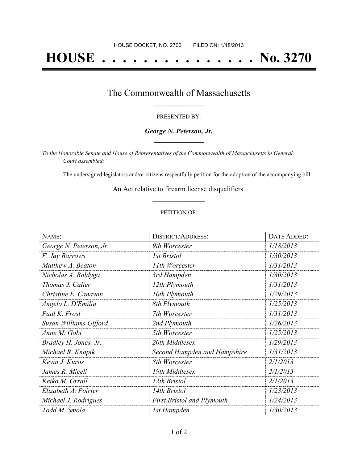# **HOUSE . . . . . . . . . . . . . . . No. 3270**

### The Commonwealth of Massachusetts **\_\_\_\_\_\_\_\_\_\_\_\_\_\_\_\_\_**

#### PRESENTED BY:

#### *George N. Peterson, Jr.* **\_\_\_\_\_\_\_\_\_\_\_\_\_\_\_\_\_**

*To the Honorable Senate and House of Representatives of the Commonwealth of Massachusetts in General Court assembled:*

The undersigned legislators and/or citizens respectfully petition for the adoption of the accompanying bill:

An Act relative to firearm license disqualifiers. **\_\_\_\_\_\_\_\_\_\_\_\_\_\_\_**

#### PETITION OF:

| NAME:                   | <b>DISTRICT/ADDRESS:</b>          | DATE ADDED: |
|-------------------------|-----------------------------------|-------------|
| George N. Peterson, Jr. | 9th Worcester                     | 1/18/2013   |
| F. Jay Barrows          | <i>Ist Bristol</i>                | 1/30/2013   |
| Matthew A. Beaton       | 11th Worcester                    | 1/31/2013   |
| Nicholas A. Boldyga     | 3rd Hampden                       | 1/30/2013   |
| Thomas J. Calter        | 12th Plymouth                     | 1/31/2013   |
| Christine E. Canavan    | 10th Plymouth                     | 1/29/2013   |
| Angelo L. D'Emilia      | 8th Plymouth                      | 1/25/2013   |
| Paul K. Frost           | 7th Worcester                     | 1/31/2013   |
| Susan Williams Gifford  | 2nd Plymouth                      | 1/26/2013   |
| Anne M. Gobi            | 5th Worcester                     | 1/25/2013   |
| Bradley H. Jones, Jr.   | 20th Middlesex                    | 1/29/2013   |
| Michael R. Knapik       | Second Hampden and Hampshire      | 1/31/2013   |
| Kevin J. Kuros          | 8th Worcester                     | 2/1/2013    |
| James R. Miceli         | 19th Middlesex                    | 2/1/2013    |
| Keiko M. Orrall         | 12th Bristol                      | 2/1/2013    |
| Elizabeth A. Poirier    | 14th Bristol                      | 1/23/2013   |
| Michael J. Rodrigues    | <b>First Bristol and Plymouth</b> | 1/24/2013   |
| Todd M. Smola           | 1st Hampden                       | 1/30/2013   |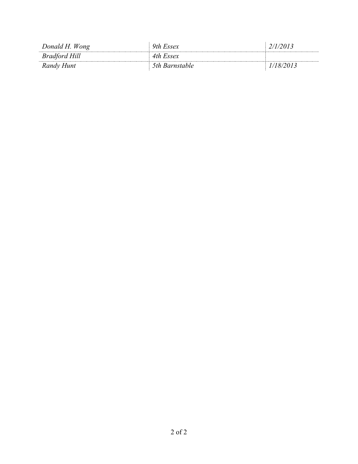| Donald H. Wong       | 9th Essex      | 2/1/2013  |
|----------------------|----------------|-----------|
| <b>Bradford Hill</b> | 4th Essex      |           |
| Randy Hunt           | 5th Barnstable | 1/18/2013 |